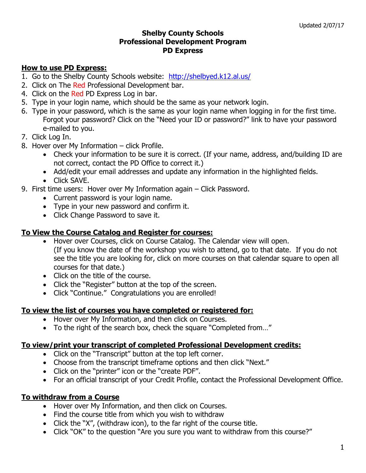### **Shelby County Schools Professional Development Program PD Express**

# **How to use PD Express:**

- 1. Go to the Shelby County Schools website: http://shelbyed.k12.al.us/
- 2. Click on The Red Professional Development bar.
- 4. Click on the Red PD Express Log in bar.
- 5. Type in your login name, which should be the same as your network login.
- 6. Type in your password, which is the same as your login name when logging in for the first time. Forgot your password? Click on the "Need your ID or password?" link to have your password e-mailed to you.
- 7. Click Log In.
- 8. Hover over My Information click Profile.
	- Check your information to be sure it is correct. (If your name, address, and/building ID are not correct, contact the PD Office to correct it.)
	- Add/edit your email addresses and update any information in the highlighted fields.
	- Click SAVE.
- 9. First time users: Hover over My Information again Click Password.
	- Current password is your login name.
	- Type in your new password and confirm it.
	- Click Change Password to save it.

# **To View the Course Catalog and Register for courses:**

- Hover over Courses, click on Course Catalog. The Calendar view will open. (If you know the date of the workshop you wish to attend, go to that date. If you do not see the title you are looking for, click on more courses on that calendar square to open all courses for that date.)
- Click on the title of the course.
- Click the "Register" button at the top of the screen.
- Click "Continue." Congratulations you are enrolled!

## **To view the list of courses you have completed or registered for:**

- Hover over My Information, and then click on Courses.
- To the right of the search box, check the square "Completed from..."

## **To view/print your transcript of completed Professional Development credits:**

- Click on the "Transcript" button at the top left corner.
- Choose from the transcript timeframe options and then click "Next."
- Click on the "printer" icon or the "create PDF".
- For an official transcript of your Credit Profile, contact the Professional Development Office.

# **To withdraw from a Course**

- Hover over My Information, and then click on Courses.
- Find the course title from which you wish to withdraw
- Click the "X", (withdraw icon), to the far right of the course title.
- Click "OK" to the question "Are you sure you want to withdraw from this course?"